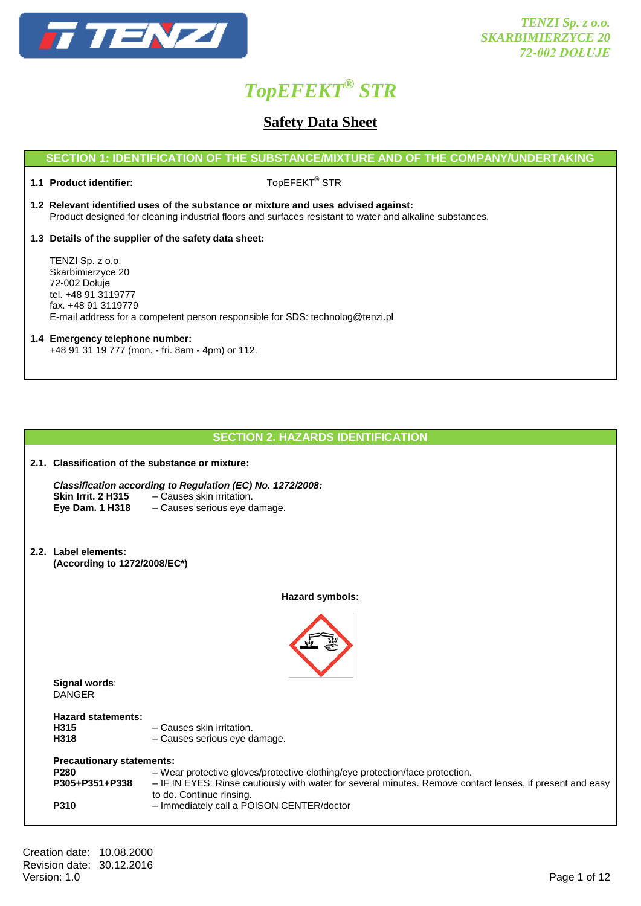

### **Safety Data Sheet**

### **SECTION 1: IDENTIFICATION OF THE SUBSTANCE/MIXTURE AND OF THE COMPANY/UNDERTAKING**

**1.1 Product identifier:** 

TopEFEKT® STR

**1.2 Relevant identified uses of the substance or mixture and uses advised against:** Product designed for cleaning industrial floors and surfaces resistant to water and alkaline substances.

**1.3 Details of the supplier of the safety data sheet:**

TENZI Sp. z o.o. Skarbimierzyce 20 72-002 Dołuje tel. +48 91 3119777 fax. +48 91 3119779 E-mail address for a competent person responsible for SDS: technolog@tenzi.pl

### **1.4 Emergency telephone number:** +48 91 31 19 777 (mon. - fri. 8am - 4pm) or 112.

|                                                                        | <b>SECTION 2. HAZARDS IDENTIFICATION</b>                                                                                                                                                                              |
|------------------------------------------------------------------------|-----------------------------------------------------------------------------------------------------------------------------------------------------------------------------------------------------------------------|
| 2.1. Classification of the substance or mixture:                       |                                                                                                                                                                                                                       |
| <b>Skin Irrit. 2 H315</b><br>Eye Dam. 1 H318                           | Classification according to Regulation (EC) No. 1272/2008:<br>- Causes skin irritation.<br>- Causes serious eye damage.                                                                                               |
| 2.2. Label elements:<br>(According to 1272/2008/EC*)                   |                                                                                                                                                                                                                       |
|                                                                        | Hazard symbols:                                                                                                                                                                                                       |
| Signal words:<br><b>DANGER</b>                                         |                                                                                                                                                                                                                       |
| <b>Hazard statements:</b><br>H315<br>H318                              | - Causes skin irritation.<br>- Causes serious eye damage.                                                                                                                                                             |
| <b>Precautionary statements:</b><br>P280<br>P305+P351+P338             | - Wear protective gloves/protective clothing/eye protection/face protection.<br>- IF IN EYES: Rinse cautiously with water for several minutes. Remove contact lenses, if present and easy<br>to do. Continue rinsing. |
| P310                                                                   | - Immediately call a POISON CENTER/doctor                                                                                                                                                                             |
| Creation date: 10.08.2000<br>Revision date: 30.12.2016<br>Version: 1.0 | Page 1 of 12                                                                                                                                                                                                          |
|                                                                        |                                                                                                                                                                                                                       |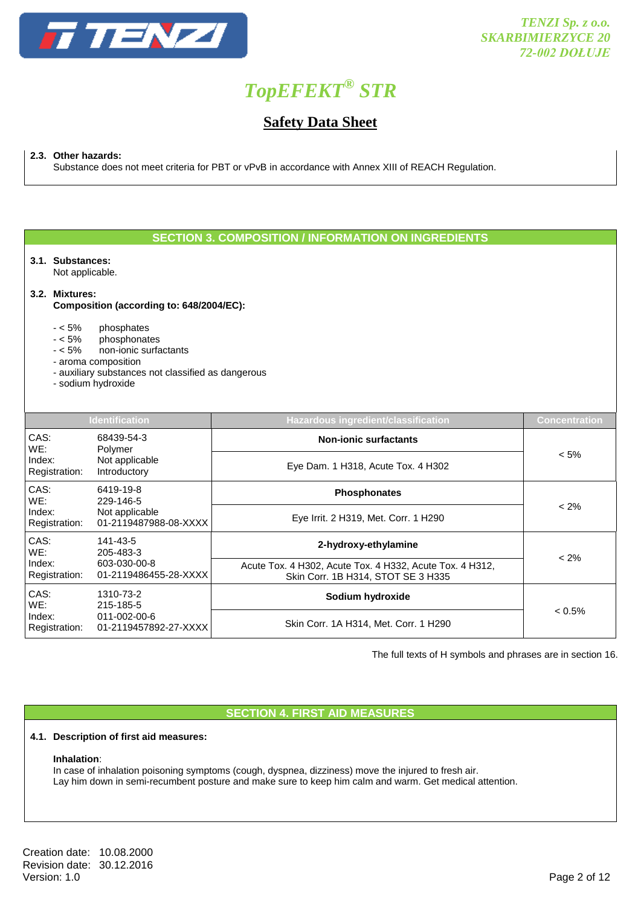

### **Safety Data Sheet**

**2.3. Other hazards:**

Substance does not meet criteria for PBT or vPvB in accordance with Annex XIII of REACH Regulation.

### **SECTION 3. COMPOSITION / INFORMATION ON INGREDIENTS**

**3.1. Substances:**

Not applicable.

### **3.2. Mixtures:**

### **Composition (according to: 648/2004/EC):**

- < 5% phosphates
- phosphonates
- < 5% non-ionic surfactants
- aroma composition
- auxiliary substances not classified as dangerous
- sodium hydroxide

| <b>Identification</b>                |                                         | Hazardous ingredient/classification                                                            | <b>Concentration</b> |
|--------------------------------------|-----------------------------------------|------------------------------------------------------------------------------------------------|----------------------|
| CAS:<br>68439-54-3<br>WE:<br>Polymer |                                         | <b>Non-ionic surfactants</b>                                                                   |                      |
| Index:<br>Registration:              | Not applicable<br>Introductory          | Eye Dam. 1 H318, Acute Tox. 4 H302                                                             | $< 5\%$              |
| CAS:<br>WE:                          | 6419-19-8<br>229-146-5                  | <b>Phosphonates</b>                                                                            |                      |
| Index:<br>Registration:              | Not applicable<br>01-2119487988-08-XXXX | Eye Irrit. 2 H319, Met. Corr. 1 H290                                                           | $< 2\%$              |
| CAS:<br>WE:                          | 141-43-5<br>205-483-3                   | 2-hydroxy-ethylamine                                                                           | $< 2\%$              |
| Index:<br>Registration:              | 603-030-00-8<br>01-2119486455-28-XXXX   | Acute Tox. 4 H302, Acute Tox. 4 H332, Acute Tox. 4 H312,<br>Skin Corr. 1B H314, STOT SE 3 H335 |                      |
| CAS:<br>WE:                          | 1310-73-2<br>215-185-5                  | Sodium hydroxide                                                                               |                      |
| Index:<br>Registration:              | 011-002-00-6<br>01-2119457892-27-XXXX   | Skin Corr. 1A H314, Met. Corr. 1 H290                                                          | $< 0.5\%$            |

The full texts of H symbols and phrases are in section 16.

### **SECTION 4. FIRST AID MEASURES**

### **4.1. Description of first aid measures:**

### **Inhalation**:

In case of inhalation poisoning symptoms (cough, dyspnea, dizziness) move the injured to fresh air. Lay him down in semi-recumbent posture and make sure to keep him calm and warm. Get medical attention.

Creation date: 10.08.2000 Revision date: 30.12.2016<br>Version: 1.0 Version: 1.0 Page 2 of 12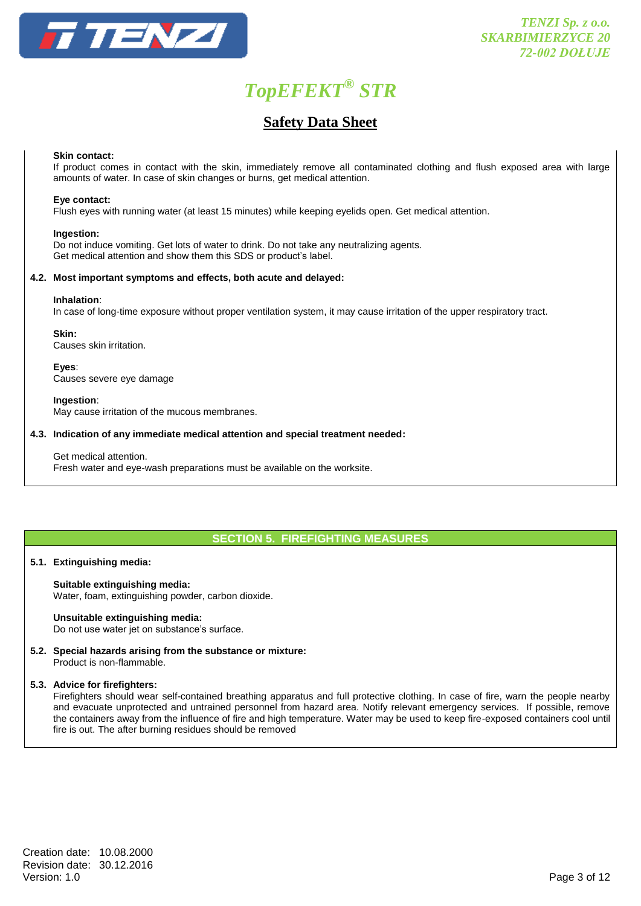

### **Safety Data Sheet**

### **Skin contact:**

If product comes in contact with the skin, immediately remove all contaminated clothing and flush exposed area with large amounts of water. In case of skin changes or burns, get medical attention.

### **Eye contact:**

Flush eyes with running water (at least 15 minutes) while keeping eyelids open. Get medical attention.

### **Ingestion:**

Do not induce vomiting. Get lots of water to drink. Do not take any neutralizing agents. Get medical attention and show them this SDS or product's label.

### **4.2. Most important symptoms and effects, both acute and delayed:**

#### **Inhalation**:

In case of long-time exposure without proper ventilation system, it may cause irritation of the upper respiratory tract.

### **Skin:**

Causes skin irritation.

**Eyes**: Causes severe eye damage

### **Ingestion**:

May cause irritation of the mucous membranes.

### **4.3. Indication of any immediate medical attention and special treatment needed:**

### Get medical attention.

Fresh water and eye-wash preparations must be available on the worksite.

### **SECTION 5. FIREFIGHTING MEASURES**

### **5.1. Extinguishing media:**

### **Suitable extinguishing media:**

Water, foam, extinguishing powder, carbon dioxide.

### **Unsuitable extinguishing media:**

Do not use water jet on substance's surface.

**5.2. Special hazards arising from the substance or mixture:** Product is non-flammable.

### **5.3. Advice for firefighters:**

Firefighters should wear self-contained breathing apparatus and full protective clothing. In case of fire, warn the people nearby and evacuate unprotected and untrained personnel from hazard area. Notify relevant emergency services. If possible, remove the containers away from the influence of fire and high temperature. Water may be used to keep fire-exposed containers cool until fire is out. The after burning residues should be removed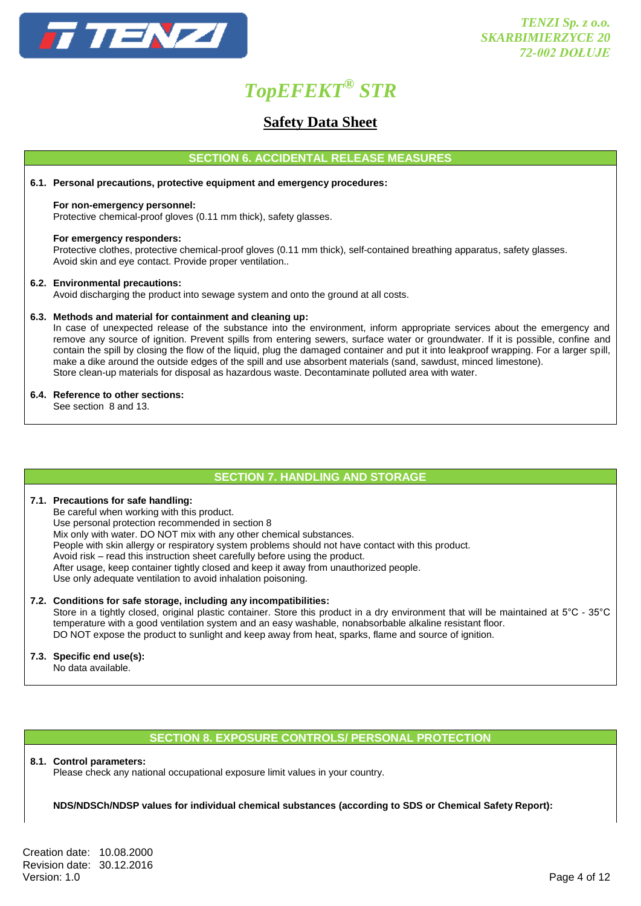

### **Safety Data Sheet**

### **SECTION 6. ACCIDENTAL RELEASE MEASURES**

### **6.1. Personal precautions, protective equipment and emergency procedures:**

### **For non-emergency personnel:**

Protective chemical-proof gloves (0.11 mm thick), safety glasses.

### **For emergency responders:**

Protective clothes, protective chemical-proof gloves (0.11 mm thick), self-contained breathing apparatus, safety glasses. Avoid skin and eye contact. Provide proper ventilation..

### **6.2. Environmental precautions:**

Avoid discharging the product into sewage system and onto the ground at all costs.

### **6.3. Methods and material for containment and cleaning up:**

In case of unexpected release of the substance into the environment, inform appropriate services about the emergency and remove any source of ignition. Prevent spills from entering sewers, surface water or groundwater. If it is possible, confine and contain the spill by closing the flow of the liquid, plug the damaged container and put it into leakproof wrapping. For a larger spill, make a dike around the outside edges of the spill and use absorbent materials (sand, sawdust, minced limestone). Store clean-up materials for disposal as hazardous waste. Decontaminate polluted area with water.

### **6.4. Reference to other sections:**

See section 8 and 13.

### **SECTION 7. HANDLING AND STORAGE**

### **7.1. Precautions for safe handling:**

Be careful when working with this product. Use personal protection recommended in section 8 Mix only with water. DO NOT mix with any other chemical substances. People with skin allergy or respiratory system problems should not have contact with this product. Avoid risk – read this instruction sheet carefully before using the product. After usage, keep container tightly closed and keep it away from unauthorized people. Use only adequate ventilation to avoid inhalation poisoning.

### **7.2. Conditions for safe storage, including any incompatibilities:**

Store in a tightly closed, original plastic container. Store this product in a dry environment that will be maintained at 5°C - 35°C temperature with a good ventilation system and an easy washable, nonabsorbable alkaline resistant floor. DO NOT expose the product to sunlight and keep away from heat, sparks, flame and source of ignition.

### **7.3. Specific end use(s):**

No data available.

### **SECTION 8. EXPOSURE CONTROLS/ PERSONAL PROTECTION**

### **8.1. Control parameters:**

Please check any national occupational exposure limit values in your country.

### **NDS/NDSCh/NDSP values for individual chemical substances (according to SDS or Chemical Safety Report):**

Creation date: 10.08.2000 Revision date: 30.12.2016<br>Version: 1.0 Version: 1.0 Page 4 of 12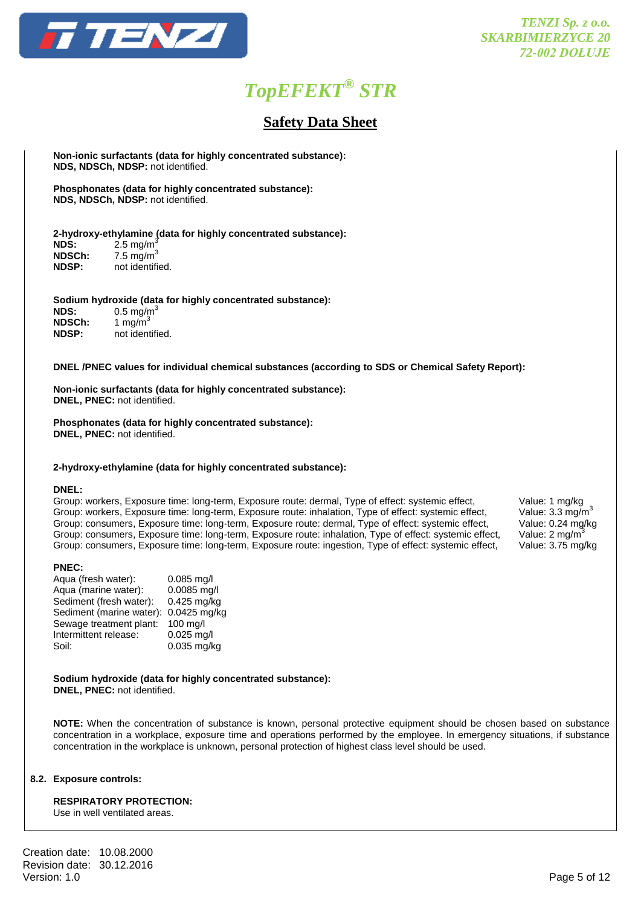

### **Safety Data Sheet**

**Non-ionic surfactants (data for highly concentrated substance): NDS, NDSCh, NDSP:** not identified.

**Phosphonates (data for highly concentrated substance): NDS, NDSCh, NDSP:** not identified.

### **2-hydroxy-ethylamine (data for highly concentrated substance):**

| NDS:          | $2.5 \text{ mg/m}^3$ |
|---------------|----------------------|
| <b>NDSCh:</b> | 7.5 mg/m $3$         |
| <b>NDSP:</b>  | not identified.      |

### **Sodium hydroxide (data for highly concentrated substance):**

| <b>NDS:</b>  | $0.5 \text{ mg/m}^3$ |
|--------------|----------------------|
| NDSCh:       | 1 mg/m <sup>3</sup>  |
| <b>NDSP:</b> | not identified.      |

### **DNEL /PNEC values for individual chemical substances (according to SDS or Chemical Safety Report):**

**Non-ionic surfactants (data for highly concentrated substance): DNEL, PNEC:** not identified.

**Phosphonates (data for highly concentrated substance): DNEL, PNEC:** not identified.

#### **2-hydroxy-ethylamine (data for highly concentrated substance):**

#### **DNEL:**

Group: workers, Exposure time: long-term, Exposure route: dermal, Type of effect: systemic effect, Value: 1 mg/kg<br>Group: workers, Exposure time: long-term, Exposure route: inhalation, Type of effect: systemic effect, Value Group: workers, Exposure time: long-term, Exposure route: inhalation, Type of effect: systemic effect, Value: 3.3 mg/m<sup>3</sup><br>Group: consumers, Exposure time: long-term, Exposure route: dermal, Type of effect: systemic effect, Group: consumers, Exposure time: long-term, Exposure route: dermal, Type of effect: systemic effect, Group: consumers, Exposure time: long-term, Exposure route: inhalation, Type of effect: systemic effect, Value: 2 mg/m3 Group: consumers, Exposure time: long-term, Exposure route: ingestion, Type of effect: systemic effect, Value: 3.75 mg/kg

#### **PNEC:**

| Aqua (fresh water):      | $0.085$ mg/l |
|--------------------------|--------------|
| Aqua (marine water):     | 0.0085 mg/l  |
| Sediment (fresh water):  | 0.425 mg/kg  |
| Sediment (marine water): | 0.0425 mg/kg |
| Sewage treatment plant:  | 100 mg/l     |
| Intermittent release:    | $0.025$ mg/l |
| Soil:                    | 0.035 mg/kg  |
|                          |              |

#### **Sodium hydroxide (data for highly concentrated substance): DNEL, PNEC:** not identified.

**NOTE:** When the concentration of substance is known, personal protective equipment should be chosen based on substance concentration in a workplace, exposure time and operations performed by the employee. In emergency situations, if substance concentration in the workplace is unknown, personal protection of highest class level should be used.

### **8.2. Exposure controls:**

**RESPIRATORY PROTECTION:**

Use in well ventilated areas.

Creation date: 10.08.2000 Revision date: 30.12.2016<br>Version: 1.0 Version: 1.0 Page 5 of 12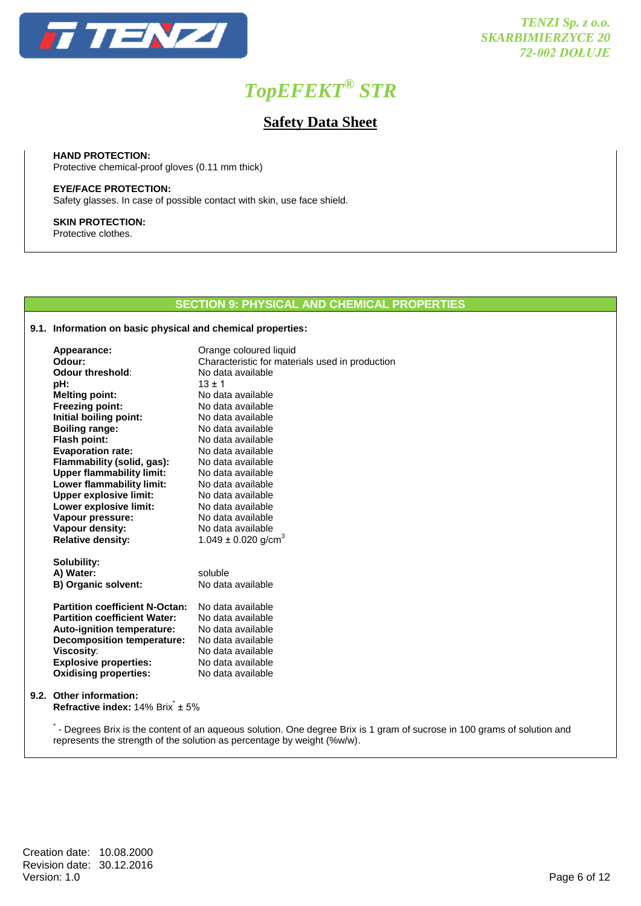

### **Safety Data Sheet**

**HAND PROTECTION:**  Protective chemical-proof gloves (0.11 mm thick)

**EYE/FACE PROTECTION:** Safety glasses. In case of possible contact with skin, use face shield.

**SKIN PROTECTION:** Protective clothes.

### **SECTION 9: PHYSICAL AND CHEMICAL PROPERTIES**

### **9.1. Information on basic physical and chemical properties:**

| Appearance:<br>Odour:                                                    | Orange coloured liquid                                               |
|--------------------------------------------------------------------------|----------------------------------------------------------------------|
| Odour threshold:                                                         | Characteristic for materials used in production<br>No data available |
| pH:                                                                      | $13 + 1$                                                             |
| <b>Melting point:</b>                                                    | No data available                                                    |
| <b>Freezing point:</b>                                                   | No data available                                                    |
| Initial boiling point:                                                   | No data available                                                    |
| <b>Boiling range:</b>                                                    | No data available                                                    |
| <b>Flash point:</b>                                                      | No data available                                                    |
| <b>Evaporation rate:</b>                                                 | No data available                                                    |
| Flammability (solid, gas):                                               | No data available                                                    |
| <b>Upper flammability limit:</b>                                         | No data available                                                    |
| Lower flammability limit:                                                | No data available                                                    |
| <b>Upper explosive limit:</b>                                            | No data available                                                    |
| Lower explosive limit:                                                   | No data available                                                    |
| Vapour pressure:                                                         | No data available                                                    |
| Vapour density:                                                          | No data available                                                    |
| <b>Relative density:</b>                                                 | 1.049 $\pm$ 0.020 g/cm <sup>3</sup>                                  |
| Solubility:                                                              |                                                                      |
| A) Water:                                                                | soluble                                                              |
| B) Organic solvent:                                                      | No data available                                                    |
| <b>Partition coefficient N-Octan:</b>                                    | No data available                                                    |
| <b>Partition coefficient Water:</b>                                      | No data available                                                    |
| Auto-ignition temperature:                                               | No data available                                                    |
| <b>Decomposition temperature:</b>                                        | No data available                                                    |
| Viscosity:                                                               | No data available                                                    |
| <b>Explosive properties:</b>                                             | No data available                                                    |
| <b>Oxidising properties:</b>                                             | No data available                                                    |
| 9.2. Other information:<br><b>Refractive index:</b> $14\%$ Brix $\pm$ 5% |                                                                      |

.<br>The Degrees Brix is the content of an aqueous solution. One degree Brix is 1 gram of sucrose in 100 grams of solution and represents the strength of the solution as percentage by weight (%w/w).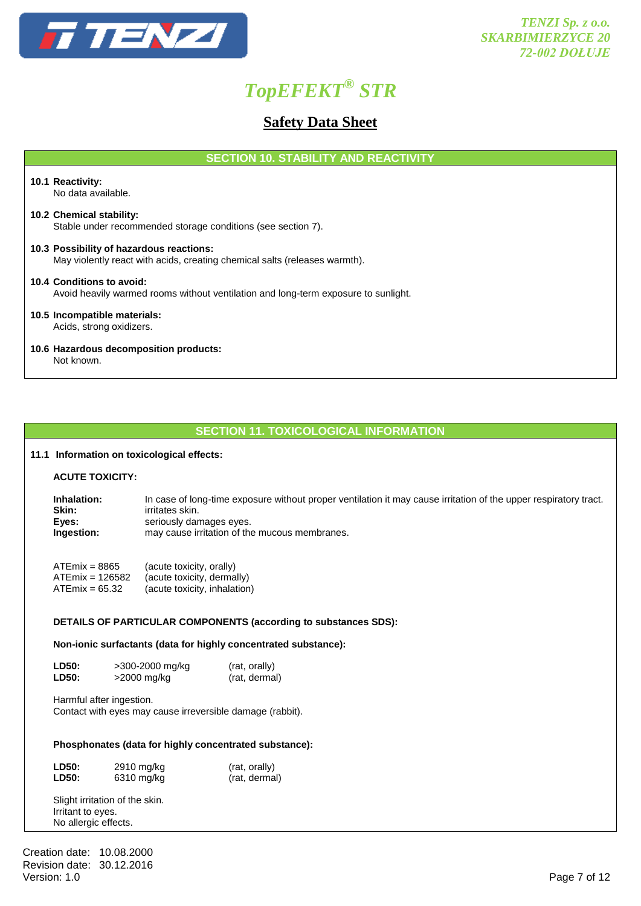

### **Safety Data Sheet**

**SECTION 10. STABILITY AND REACTIVITY**

#### **10.1 Reactivity:** No data available.

#### **10.2 Chemical stability:** Stable under recommended storage conditions (see section 7).

- **10.3 Possibility of hazardous reactions:** May violently react with acids, creating chemical salts (releases warmth).
- **10.4 Conditions to avoid:** Avoid heavily warmed rooms without ventilation and long-term exposure to sunlight.
- **10.5 Incompatible materials:** Acids, strong oxidizers.
- **10.6 Hazardous decomposition products:** Not known.

### **SECTION 11. TOXICOLOGICAL INFORMATION**

### **11.1 Information on toxicological effects:**

| <b>ACUTE TOXICITY:</b> |
|------------------------|
|------------------------|

| Inhalation: | In case of long-time exposure without proper ventilation it may cause irritation of the upper respiratory tract. |
|-------------|------------------------------------------------------------------------------------------------------------------|
| Skin:       | irritates skin.                                                                                                  |
| Eves:       | seriously damages eyes.                                                                                          |
| Ingestion:  | may cause irritation of the mucous membranes.                                                                    |
|             |                                                                                                                  |

| $ATEmix = 8865$   | (acute toxicity, orally)     |
|-------------------|------------------------------|
| $ATEmix = 126582$ | (acute toxicity, dermally)   |
| $ATEmix = 65.32$  | (acute toxicity, inhalation) |

### **DETAILS OF PARTICULAR COMPONENTS (according to substances SDS):**

**Non-ionic surfactants (data for highly concentrated substance):**

**LD50:**  $>300-2000$  mg/kg (rat, orally)<br> **LD50:**  $>2000$  mg/kg (rat, dermal)  $>$ 2000 mg/kg

Harmful after ingestion. Contact with eyes may cause irreversible damage (rabbit).

### **Phosphonates (data for highly concentrated substance):**

| <b>LD50:</b> | 2910 mg/kg | (rat, orally) |
|--------------|------------|---------------|
| <b>LD50:</b> | 6310 mg/kg | (rat, dermal) |

Slight irritation of the skin. Irritant to eyes. No allergic effects.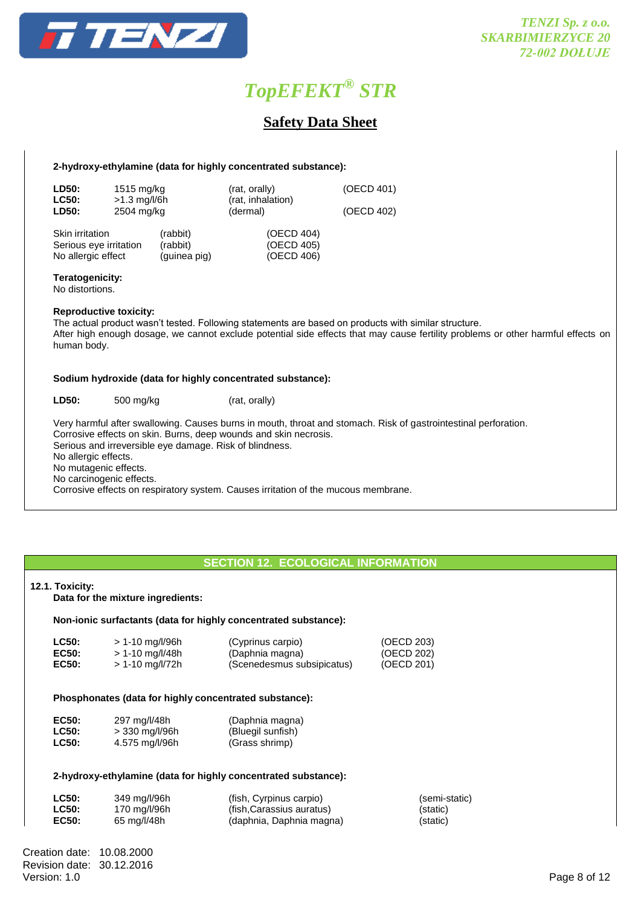

### **Safety Data Sheet**

### **2-hydroxy-ethylamine (data for highly concentrated substance):**

| <b>LD50:</b><br><b>LC50:</b><br><b>LD50:</b>                           | 1515 mg/kg<br>$>1.3$ mg/l/6h<br>2504 mg/kg |                                      | (rat, orally)<br>(rat, inhalation)<br>(dermal) | (OECD 401)<br>(OECD 402) |
|------------------------------------------------------------------------|--------------------------------------------|--------------------------------------|------------------------------------------------|--------------------------|
| <b>Skin irritation</b><br>Serious eye irritation<br>No allergic effect |                                            | (rabbit)<br>(rabbit)<br>(guinea pig) | (OECD 404)<br>(OECD 405)<br>(OECD 406)         |                          |

#### **Teratogenicity:**

No distortions.

### **Reproductive toxicity:**

The actual product wasn't tested. Following statements are based on products with similar structure. After high enough dosage, we cannot exclude potential side effects that may cause fertility problems or other harmful effects on human body.

### **Sodium hydroxide (data for highly concentrated substance):**

**LD50:** 500 mg/kg (rat, orally)

Very harmful after swallowing. Causes burns in mouth, throat and stomach. Risk of gastrointestinal perforation. Corrosive effects on skin. Burns, deep wounds and skin necrosis. Serious and irreversible eye damage. Risk of blindness. No allergic effects. No mutagenic effects. No carcinogenic effects. Corrosive effects on respiratory system. Causes irritation of the mucous membrane.

### **SECTION 12. ECOLOGICAL INFORMATION**

## **12.1. Toxicity: Data for the mixture ingredients: Non-ionic surfactants (data for highly concentrated substance): LC50:** > 1-10 mg/l/96h (Cyprinus carpio) (OECD 203)<br> **EC50:** > 1-10 mg/l/48h (Daphnia magna) (OECD 202) **EC50:** > 1-10 mg/l/48h (Daphnia magna) (OECD 202) **EC50:** > 1-10 mg/l/72h (Scenedesmus subsipicatus) (OECD 201) **Phosphonates (data for highly concentrated substance): EC50:** 297 mg/l/48h (Daphnia magna) **LC50:** > 330 mg/l/96h (Bluegil sunfish) **LC50:** 4.575 mg/l/96h (Grass shrimp) **2-hydroxy-ethylamine (data for highly concentrated substance): LC50:** 349 mg/l/96h (fish, Cyrpinus carpio) (semi-static) **LC50:** 170 mg/l/96h (fish,Carassius auratus) (static) **EC50:** 65 mg/l/48h (daphnia, Daphnia magna) (static)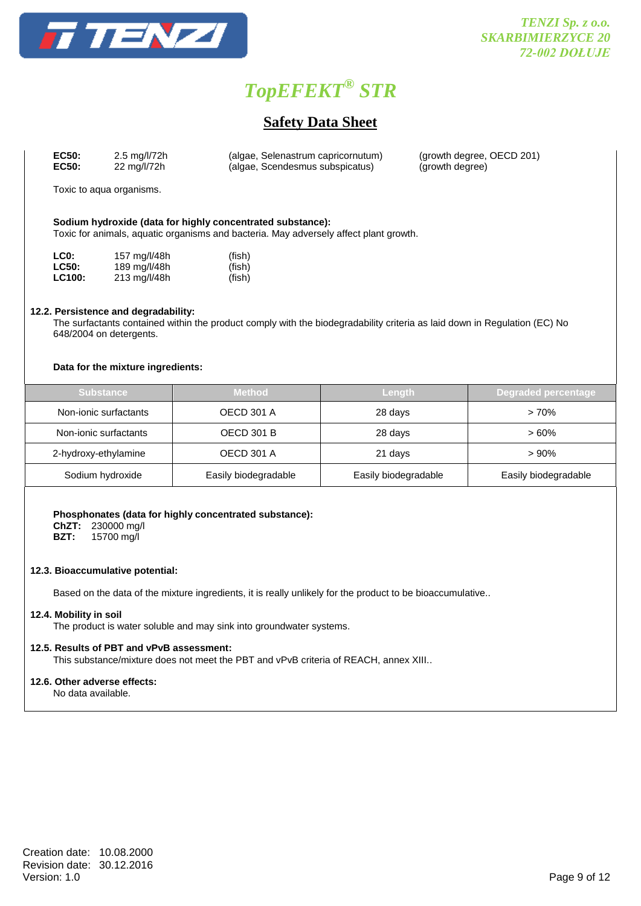

### **Safety Data Sheet**

| EC50: | 2.5 mg/l/72h | (algae, Selenastrum capricornutum) | (growth degree, OECD 201) |
|-------|--------------|------------------------------------|---------------------------|
| EC50: | 22 mg/l/72h  | (algae, Scendesmus subspicatus)    | (growth degree)           |

Toxic to aqua organisms.

### **Sodium hydroxide (data for highly concentrated substance):**

Toxic for animals, aquatic organisms and bacteria. May adversely affect plant growth.

| LC0:          | 157 mg/l/48h | (fish) |
|---------------|--------------|--------|
| <b>LC50:</b>  | 189 mg/l/48h | (fish) |
| <b>LC100:</b> | 213 mg/l/48h | (fish) |

### **12.2. Persistence and degradability:**

The surfactants contained within the product comply with the biodegradability criteria as laid down in Regulation (EC) No 648/2004 on detergents.

### **Data for the mixture ingredients:**

| <b>Substance</b>      | Method               | <b>Length</b>        | <b>Degraded percentage</b> |
|-----------------------|----------------------|----------------------|----------------------------|
| Non-ionic surfactants | OECD 301 A           | 28 days              | $>70\%$                    |
| Non-ionic surfactants | OECD 301 B           | 28 days              | $>60\%$                    |
| 2-hydroxy-ethylamine  | OECD 301 A           | 21 days              | >90%                       |
| Sodium hydroxide      | Easily biodegradable | Easily biodegradable | Easily biodegradable       |

### **Phosphonates (data for highly concentrated substance):**

**ChZT:** 230000 mg/l

**BZT:** 15700 mg/l

### **12.3. Bioaccumulative potential:**

Based on the data of the mixture ingredients, it is really unlikely for the product to be bioaccumulative..

### **12.4. Mobility in soil**

The product is water soluble and may sink into groundwater systems.

### **12.5. Results of PBT and vPvB assessment:**

This substance/mixture does not meet the PBT and vPvB criteria of REACH, annex XIII..

### **12.6. Other adverse effects:**

No data available.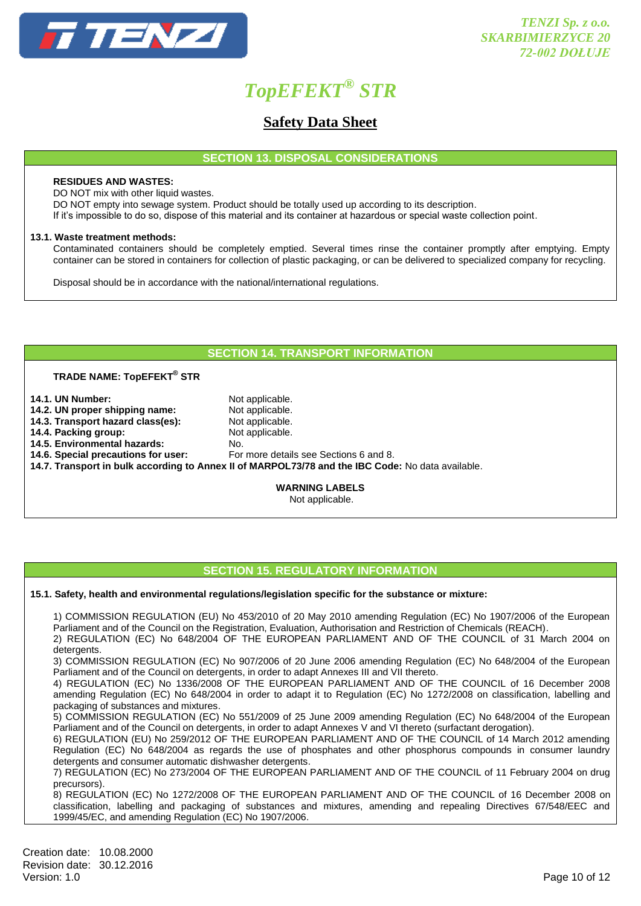

### **Safety Data Sheet**

**SECTION 13. DISPOSAL CONSIDERATIONS**

### **RESIDUES AND WASTES:**

DO NOT mix with other liquid wastes.

DO NOT empty into sewage system. Product should be totally used up according to its description.

If it's impossible to do so, dispose of this material and its container at hazardous or special waste collection point.

### **13.1. Waste treatment methods:**

Contaminated containers should be completely emptied. Several times rinse the container promptly after emptying. Empty container can be stored in containers for collection of plastic packaging, or can be delivered to specialized company for recycling.

Disposal should be in accordance with the national/international regulations.

### **SECTION 14. TRANSPORT INFORMATION**

### **TRADE NAME: TopEFEKT® STR**

- **14.1. UN Number:** Not applicable.
- **14.2. UN proper shipping name:** Not applicable.
- 14.3. Transport hazard class(es): Not applicable.
- **14.4. Packing group:** Not applicable.
- **14.5. Environmental hazards:** No.<br>**14.6. Special precautions for user:** For
- 

**14.6. Special precautions for user:** For more details see Sections 6 and 8.

**14.7. Transport in bulk according to Annex II of MARPOL73/78 and the IBC Code:** No data available.

**WARNING LABELS**

Not applicable.

### **SECTION 15. REGULATORY INFORMATION**

### **15.1. Safety, health and environmental regulations/legislation specific for the substance or mixture:**

1) COMMISSION REGULATION (EU) No 453/2010 of 20 May 2010 amending Regulation (EC) No 1907/2006 of the European Parliament and of the Council on the Registration, Evaluation, Authorisation and Restriction of Chemicals (REACH).

2) REGULATION (EC) No 648/2004 OF THE EUROPEAN PARLIAMENT AND OF THE COUNCIL of 31 March 2004 on detergents.

3) COMMISSION REGULATION (EC) No 907/2006 of 20 June 2006 amending Regulation (EC) No 648/2004 of the European Parliament and of the Council on detergents, in order to adapt Annexes III and VII thereto.

4) REGULATION (EC) No 1336/2008 OF THE EUROPEAN PARLIAMENT AND OF THE COUNCIL of 16 December 2008 amending Regulation (EC) No 648/2004 in order to adapt it to Regulation (EC) No 1272/2008 on classification, labelling and packaging of substances and mixtures.

5) COMMISSION REGULATION (EC) No 551/2009 of 25 June 2009 amending Regulation (EC) No 648/2004 of the European Parliament and of the Council on detergents, in order to adapt Annexes V and VI thereto (surfactant derogation).

6) REGULATION (EU) No 259/2012 OF THE EUROPEAN PARLIAMENT AND OF THE COUNCIL of 14 March 2012 amending Regulation (EC) No 648/2004 as regards the use of phosphates and other phosphorus compounds in consumer laundry detergents and consumer automatic dishwasher detergents.

7) REGULATION (EC) No 273/2004 OF THE EUROPEAN PARLIAMENT AND OF THE COUNCIL of 11 February 2004 on drug precursors).

8) REGULATION (EC) No 1272/2008 OF THE EUROPEAN PARLIAMENT AND OF THE COUNCIL of 16 December 2008 on classification, labelling and packaging of substances and mixtures, amending and repealing Directives 67/548/EEC and 1999/45/EC, and amending Regulation (EC) No 1907/2006.

Creation date: 10.08.2000 Revision date: 30.12.2016<br>Version: 1.0 Version: 1.0 Page 10 of 12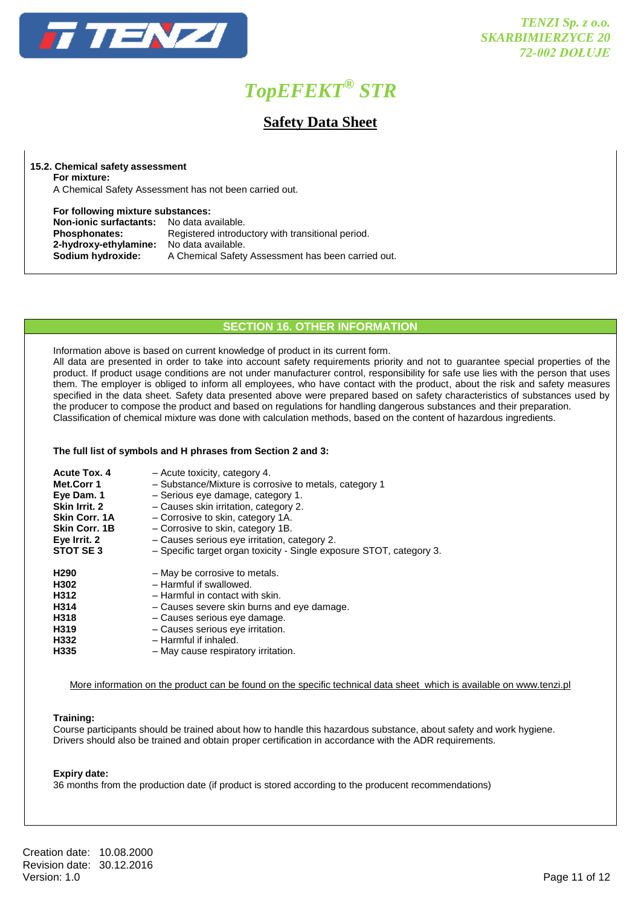

### **Safety Data Sheet**

**15.2. Chemical safety assessment For mixture:** 

A Chemical Safety Assessment has not been carried out.

**For following mixture substances:**

**Non-ionic surfactants:** No data available.<br>**Phosphonates:** Registered introdu Registered introductory with transitional period. 2-hydroxy-ethylamine: No data available.<br>Sodium hydroxide: A Chemical Safety **Sodium hydroxide:** A Chemical Safety Assessment has been carried out.

### **SECTION 16. OTHER INFORMATION**

Information above is based on current knowledge of product in its current form.

All data are presented in order to take into account safety requirements priority and not to guarantee special properties of the product. If product usage conditions are not under manufacturer control, responsibility for safe use lies with the person that uses them. The employer is obliged to inform all employees, who have contact with the product, about the risk and safety measures specified in the data sheet. Safety data presented above were prepared based on safety characteristics of substances used by the producer to compose the product and based on regulations for handling dangerous substances and their preparation. Classification of chemical mixture was done with calculation methods, based on the content of hazardous ingredients.

### **The full list of symbols and H phrases from Section 2 and 3:**

| Acute Tox. 4         | - Acute toxicity, category 4.                                        |
|----------------------|----------------------------------------------------------------------|
| Met.Corr 1           | - Substance/Mixture is corrosive to metals, category 1               |
| Eye Dam. 1           | - Serious eye damage, category 1.                                    |
| Skin Irrit. 2        | - Causes skin irritation, category 2.                                |
| <b>Skin Corr. 1A</b> | - Corrosive to skin, category 1A.                                    |
| <b>Skin Corr. 1B</b> | - Corrosive to skin, category 1B.                                    |
| Eye Irrit. 2         | - Causes serious eye irritation, category 2.                         |
| STOT SE3             | - Specific target organ toxicity - Single exposure STOT, category 3. |
| H <sub>290</sub>     | - May be corrosive to metals.                                        |
| H302                 | - Harmful if swallowed.                                              |
| H312                 | - Harmful in contact with skin.                                      |
| H314                 | - Causes severe skin burns and eye damage.                           |
| H318                 | - Causes serious eye damage.                                         |
| H319                 | - Causes serious eye irritation.                                     |
| H332                 | - Harmful if inhaled.                                                |
| H <sub>335</sub>     | - May cause respiratory irritation.                                  |

More information on the product can be found on the specific technical data sheet which is available on www.tenzi.pl

### **Training:**

Course participants should be trained about how to handle this hazardous substance, about safety and work hygiene. Drivers should also be trained and obtain proper certification in accordance with the ADR requirements.

### **Expiry date:**

36 months from the production date (if product is stored according to the producent recommendations)

Creation date: 10.08.2000 Revision date: 30.12.2016<br>Version: 1.0 Version: 1.0 Page 11 of 12